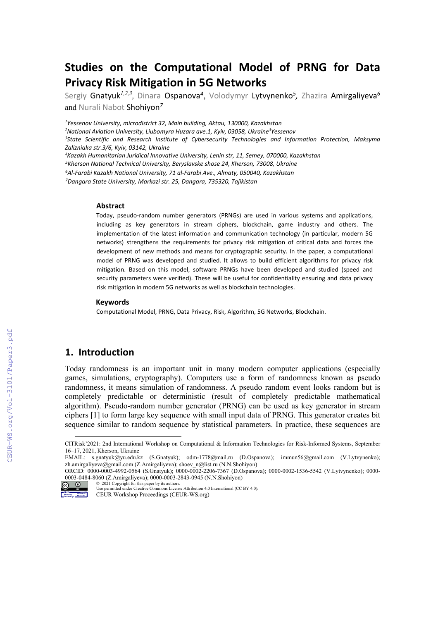# **Studies on the Computational Model of PRNG for Data Privacy Risk Mitigation in 5G Networks**

Sergiy Gnatyuk*1,2,3,* Dinara Ospanova*<sup>4</sup>*, Volodymyr Lytvynenko*5,* Zhazira Amirgaliyeva*<sup>6</sup>* and Nurali Nabot Shohiyon*<sup>7</sup>*

*<sup>1</sup>Yessenov University, microdistrict 32, Main building, Aktau, 130000, Kazakhstan*

*<sup>2</sup>National Aviation University, Liubomyra Huzara ave.1, Kyiv, 03058, Ukraine<sup>3</sup> Yessenov*

*<sup>4</sup>Kazakh Humanitarian Juridical Innovative University, Lenin str, 11, Semey, 070000, Kazakhstan*

*5Kherson National Technical University, Beryslavske shose 24, Kherson, 73008, Ukraine*

*6Al-Farabi Kazakh National University, 71 al-Farabi Ave., Almaty, 050040, Kazakhstan*

*7Dangara State University, Markazi str. 25, Dangara, 735320, Tajikistan*

#### **Abstract**

Today, pseudo-random number generators (PRNGs) are used in various systems and applications, including as key generators in stream ciphers, blockchain, game industry and others. The implementation of the latest information and communication technology (in particular, modern 5G networks) strengthens the requirements for privacy risk mitigation of critical data and forces the development of new methods and means for cryptographic security. In the paper, a computational model of PRNG was developed and studied. It allows to build efficient algorithms for privacy risk mitigation. Based on this model, software PRNGs have been developed and studied (speed and security parameters were verified). These will be useful for confidentiality ensuring and data privacy risk mitigation in modern 5G networks as well as blockchain technologies.

#### **Keywords**

Computational Model, PRNG, Data Privacy, Risk, Algorithm, 5G Networks, Blockchain.

# **1. Introduction**

Today randomness is an important unit in many modern computer applications (especially games, simulations, cryptography). Computers use a form of randomness known as pseudo randomness, it means simulation of randomness. A pseudo random event looks random but is completely predictable or deterministic (result of completely predictable mathematical algorithm). Pseudo-random number generator (PRNG) can be used as key generator in stream ciphers [1] to form large key sequence with small input data of PRNG. This generator creates bit sequence similar to random sequence by statistical parameters. In practice, these sequences are

ORCID: 0000-0003-4992-0564 (S.Gnatyuk); 0000-0002-2206-7367 (D.Ospanova); [0000-0002-1536-5542](http://orcid.org/0000-0002-1536-5542) (V.Lytvynenko); 0000- 0003-0484-8060 (Z.Amirgaliyeva); 0000-0003-2843-0945 (N.N.Shohiyon)



<sup>©</sup> 2021 Copyright for this paper by its authors. Use permitted under Creative Commons License Attribution 4.0 International (CC BY 4.0). CEUR Workshop Proceedings (CEUR-WS.org)

*<sup>3</sup> State Scientific and Research Institute of Cybersecurity Technologies and Information Protection, Maksyma Zalizniaka str.3/6, Kyiv, 03142, Ukraine*

CITRisk'2021: 2nd International Workshop on Computational & Information Technologies for Risk-Informed Systems, September 16–17, 2021, Kherson, Ukraine

<span id="page-0-0"></span>EMAIL: s.gnatyuk@yu.edu.kz (S.Gnatyuk); odm-1778@mail.ru (D.Ospanova); [immun56@gmail.com](mailto:immun56@gmail.com) (V.Lytvynenko); zh.amirgaliyeva@gmail.com (Z.Amirgaliyeva); shoev\_n@list.ru (N.N.Shohiyon)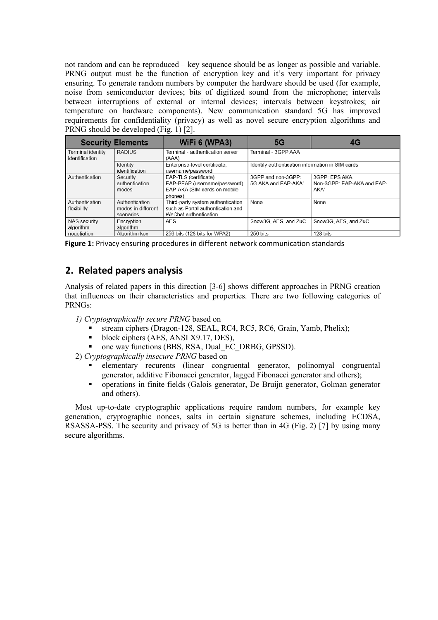not random and can be reproduced – key sequence should be as longer as possible and variable. PRNG output must be the function of encryption key and it's very important for privacy ensuring. To generate random numbers by computer the hardware should be used (for example, noise from semiconductor devices; bits of digitized sound from the microphone; intervals between interruptions of external or internal devices; intervals between keystrokes; air temperature on hardware components). New communication standard 5G has improved requirements for confidentiality (privacy) as well as novel secure encryption algorithms and PRNG should be developed (Fig. 1) [2].

| <b>Security Elements</b>            |                                                   | WiFi 6 (WPA3)                                                                                              | 5G                                               | 4G                                                  |  |
|-------------------------------------|---------------------------------------------------|------------------------------------------------------------------------------------------------------------|--------------------------------------------------|-----------------------------------------------------|--|
| Terminal identity<br>identification | <b>RADIUS</b>                                     | Terminal - authentication server<br>(AAA)                                                                  | Terminal - 3GPP AAA                              |                                                     |  |
|                                     | Identity<br>identification                        | Enterprise-level certificate.<br>username/password                                                         | Identify authentication information in SIM cards |                                                     |  |
| Authentication                      | Security<br>authentication<br>modes               | EAP-TLS (certificate)<br>EAP-PEAP (username/password)<br>EAP-AKA (SIM cards on mobile                      | 3GPP and non-3GPP:<br>5G AKA and EAP-AKA'        | 3GPP: EPS AKA<br>Non-3GPP: EAP-AKA and EAP-<br>AKA' |  |
| Authentication<br>flexibility       | Authentication<br>modes in different<br>scenarios | phones)<br>Third-party system authentication<br>such as Portal authentication and<br>WeChat authentication | None                                             | None                                                |  |
| <b>NAS security</b><br>algorithm    | Encryption<br>algorithm                           | <b>AES</b>                                                                                                 | Snow3G, AES, and ZuC                             | Snow3G, AES, and ZuC                                |  |
| negotiation                         | Algorithm key                                     | 256 bits (128 bits for WPA2)                                                                               | 256 bits                                         | 128 bits                                            |  |

# **2. Related papers analysis**

Analysis of related papers in this direction [3-6] shows different approaches in PRNG creation that influences on their characteristics and properties. There are two following categories of PRNGs:

*1) Cryptographically secure PRNG* based on

- Stream ciphers (Dragon-128, SEAL, RC4, RC5, RC6, Grain, Yamb, Phelix);<br>block ciphers (AES, ANSI X9.17, DES)
- block ciphers (AES, ANSI X9.17, DES),
- one way functions (BBS, RSA, Dual\_EC\_DRBG, GPSSD).

2) *Cryptographically insecure PRNG* based on

- elementary recurents (linear congruental generator, polinomyal congruental generator, additive Fibonacci generator, lagged Fibonacci generator and others);
- operations in finite fields (Galois generator, De Bruijn generator, Golman generator and others).

Most up-to-date cryptographic applications require random numbers, for example key generation, cryptographic nonces, salts in certain signature schemes, including ECDSA, RSASSA-PSS. The security and privacy of 5G is better than in 4G (Fig. 2) [7] by using many secure algorithms.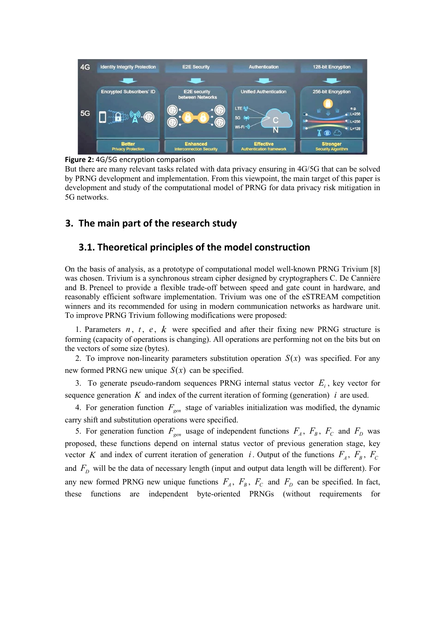

**Figure 2:** 4G/5G encryption comparison

But there are many relevant tasks related with data privacy ensuring in 4G/5G that can be solved by PRNG development and implementation. From this viewpoint, the main target of this paper is development and study of the computational model of PRNG for data privacy risk mitigation in 5G networks.

# **3. The main part of the research study**

# **3.1. Theoretical principles of the model construction**

On the basis of analysis, as a prototype of computational model well-known PRNG Trivium [8] was chosen. Trivium is a synchronous stream cipher designed by cryptographers C. De Cannière and B. Preneel to provide a flexible trade-off between speed and gate count in hardware, and reasonably efficient software implementation. Trivium was one of the eSTREAM competition winners and its recommended for using in modern communication networks as hardware unit. To improve PRNG Trivium following modifications were proposed:

1. Parameters *n* , *t* , *e* , *k* were specified and after their fixing new PRNG structure is forming (capacity of operations is changing). All operations are performing not on the bits but on the vectors of some size (bytes).

2. To improve non-linearity parameters substitution operation  $S(x)$  was specified. For any new formed PRNG new unique  $S(x)$  can be specified.

3. To generate pseudo-random sequences PRNG internal status vector  $E_i$ , key vector for sequence generation *K* and index of the current iteration of forming (generation) *i* are used.

4. For generation function  $F_{gen}$  stage of variables initialization was modified, the dynamic carry shift and substitution operations were specified.

5. For generation function  $F_{gen}$  usage of independent functions  $F_A$ ,  $F_B$ ,  $F_C$  and  $F_D$  was proposed, these functions depend on internal status vector of previous generation stage, key vector *K* and index of current iteration of generation *i*. Output of the functions  $F_A$ ,  $F_B$ ,  $F_C$ and  $F<sub>D</sub>$  will be the data of necessary length (input and output data length will be different). For any new formed PRNG new unique functions  $F_A$ ,  $F_B$ ,  $F_C$  and  $F_D$  can be specified. In fact, these functions are independent byte-oriented PRNGs (without requirements for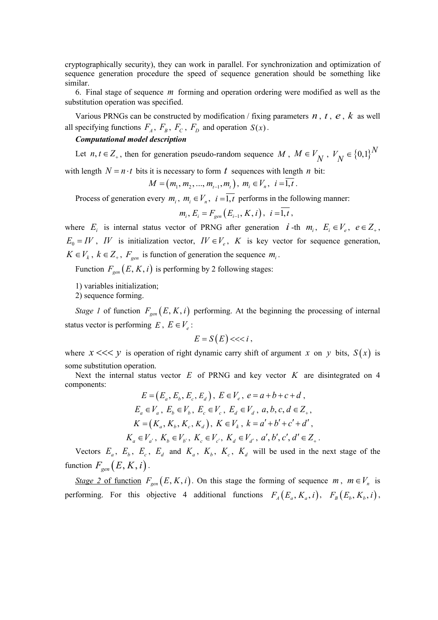cryptographically security), they can work in parallel. For synchronization and optimization of sequence generation procedure the speed of sequence generation should be something like similar.

6. Final stage of sequence *m* forming and operation ordering were modified as well as the substitution operation was specified.

Various PRNGs can be constructed by modification / fixing parameters *n* , *t* , *e* , *k* as well all specifying functions  $F_A$ ,  $F_B$ ,  $F_C$ ,  $F_D$  and operation  $S(x)$ .

### *Computational model description*

Let *n*,  $t \in Z_+$ , then for generation pseudo-random sequence *M*,  $M \in V_N$ ,  $V_N \in \{0,1\}^N$ 

with length  $N = n \cdot t$  bits it is necessary to form  $t$  sequences with length  $n$  bit:

$$
M = (m_1, m_2, ..., m_{t-1}, m_t), m_i \in V_n, i = 1, t.
$$

Process of generation every  $m_i$ ,  $m_i \in V_n$ ,  $i = 1, t$  performs in the following manner:

$$
m_i, E_i = F_{gen}(E_{i-1}, K, i), i = 1, t,
$$

where  $E_i$  is internal status vector of PRNG after generation *i*-th  $m_i$ ,  $E_i \in V_e$ ,  $e \in Z_+$ ,  $E_0 = IV$ , *IV* is initialization vector,  $IV \in V_e$ , *K* is key vector for sequence generation,  $K \in V_k$ ,  $k \in Z_+$ ,  $F_{gen}$  is function of generation the sequence  $m_i$ .

Function  $F_{\text{gen}}(E, K, i)$  is performing by 2 following stages:

1) variables initialization;

2) sequence forming.

*Stage 1* of function  $F_{gen}(E, K, i)$  performing. At the beginning the processing of internal status vector is performing  $E, E \in V_e$ :

$$
E = S(E) \ll i,
$$

where  $x \ll y$  is operation of right dynamic carry shift of argument x on y bits,  $S(x)$  is some substitution operation.

Next the internal status vector *E* of PRNG and key vector *K* are disintegrated on 4 components:

$$
E = (E_a, E_b, E_c, E_d), E \in V_e, e = a + b + c + d,
$$
  
\n
$$
E_a \in V_a, E_b \in V_b, E_c \in V_c, E_d \in V_d, a, b, c, d \in Z_+,
$$
  
\n
$$
K = (K_a, K_b, K_c, K_d), K \in V_k, k = a' + b' + c' + d',
$$
  
\n
$$
K_a \in V_{a'}, K_b \in V_{b'}, K_c \in V_{c'}, K_d \in V_{d'}, a', b', c', d' \in Z_+.
$$

Vectors  $E_a$ ,  $E_b$ ,  $E_c$ ,  $E_d$  and  $K_a$ ,  $K_b$ ,  $K_c$ ,  $K_d$  will be used in the next stage of the function  $F_{gen}(E, K, i)$ .

*Stage 2* of function  $F_{gen}(E, K, i)$ . On this stage the forming of sequence *m*,  $m \in V_n$  is performing. For this objective 4 additional functions  $F_A(E_a, K_a, i)$ ,  $F_B(E_b, K_b, i)$ ,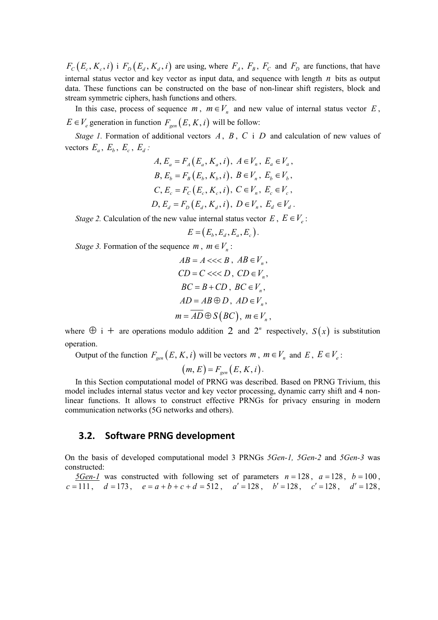$F_c(E_c, K_c, i)$  i  $F_p(E_d, K_d, i)$  are using, where  $F_A$ ,  $F_B$ ,  $F_C$  and  $F_D$  are functions, that have internal status vector and key vector as input data, and sequence with length *n* bits as output data. These functions can be constructed on the base of non-linear shift registers, block and stream symmetric ciphers, hash functions and others.

In this case, process of sequence *m*,  $m \in V_n$  and new value of internal status vector *E*,  $E \in V_e$  generation in function  $F_{gen}(E, K, i)$  will be follow:

*Stage 1.* Formation of additional vectors *A*, *B*, *C* i *D* and calculation of new values of vectors  $E_a$ ,  $E_b$ ,  $E_c$ ,  $E_d$ :

$$
A, E_a = F_A(E_a, K_a, i), A \in V_n, E_a \in V_a,
$$
  
\n
$$
B, E_b = F_B(E_b, K_b, i), B \in V_n, E_b \in V_b,
$$
  
\n
$$
C, E_c = F_C(E_c, K_c, i), C \in V_n, E_c \in V_c,
$$
  
\n
$$
D, E_d = F_D(E_d, K_d, i), D \in V_n, E_d \in V_d.
$$

*Stage* 2. Calculation of the new value internal status vector  $E, E \in V$ .

$$
E = (E_b, E_d, E_a, E_c).
$$

*Stage* 3. Formation of the sequence *m*,  $m \in V_n$ :

$$
AB = A \ll B, AB \in V_n,
$$
  
\n
$$
CD = C \ll D, CD \in V_n,
$$
  
\n
$$
BC = B + CD, BC \in V_n,
$$
  
\n
$$
AD = AB \oplus D, AD \in V_n,
$$
  
\n
$$
m = AD \oplus S(BC), m \in V_n,
$$

where  $\oplus$  i + are operations modulo addition 2 and 2<sup>n</sup> respectively,  $S(x)$  is substitution operation.

Output of the function  $F_{gen}(E, K, i)$  will be vectors  $m$ ,  $m \in V_n$  and  $E, E \in V_e$ :

$$
(m, E) = F_{gen}(E, K, i).
$$

In this Section computational model of PRNG was described. Based on PRNG Trivium, this model includes internal status vector and key vector processing, dynamic carry shift and 4 nonlinear functions. It allows to construct effective PRNGs for privacy ensuring in modern communication networks (5G networks and others).

### **3.2. Software PRNG development**

On the basis of developed computational model 3 PRNGs *5Gen-1, 5Gen-2* and *5Gen-3* was constructed:

*5Gen-1* was constructed with following set of parameters  $n = 128$ ,  $a = 128$ ,  $b = 100$ ,  $c = 111, \quad d = 173, \quad e = a + b + c + d = 512, \quad a' = 128, \quad b' = 128, \quad c' = 128, \quad d' = 128,$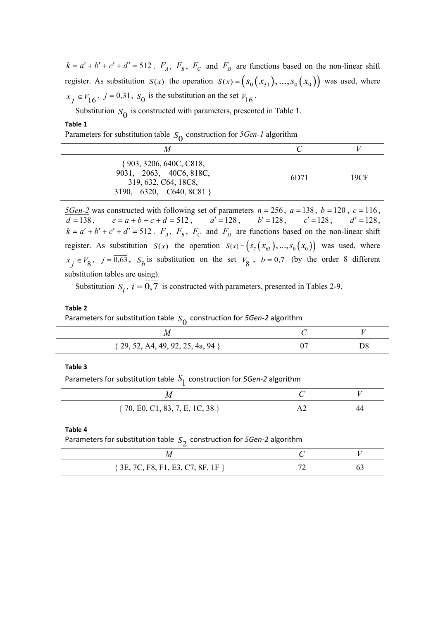$k = a' + b' + c' + d' = 512$ .  $F_A$ ,  $F_B$ ,  $F_C$  and  $F_D$  are functions based on the non-linear shift register. As substitution  $S(x)$  the operation  $S(x) = (s_0(x_{31}), ..., s_0(x_0))$  was used, where  $x_j \in V_{16}$ ,  $j = \overline{0,31}$ ,  $S_0$  is the substitution on the set  $V_{16}$ .

Substitution  $S_0$  is constructed with parameters, presented in Table 1.

### **Table 1**

Parameters for substitution table  $S_0$  construction for *5Gen-1* algorithm

| M                                                                                                         |      |      |
|-----------------------------------------------------------------------------------------------------------|------|------|
| $\{903, 3206, 640C, C818,$<br>9031, 2063, 40C6, 818C,<br>319, 632, C64, 18C8,<br>3190, 6320, C640, 8C81 } | 6D71 | 19CF |

*5Gen-2* was constructed with following set of parameters  $n = 256$ ,  $a = 138$ ,  $b = 120$ ,  $c = 116$ , *d* = 138, *e* =  $a + b + c + d$  = 512, *a*<sup> $\prime$ </sup> = 128, *b*<sup> $\prime$ </sup> = 128, *d*<sup> $\prime$ </sup> = 128,  $k = a' + b' + c' + d' = 512$ .  $F_A$ ,  $F_B$ ,  $F_C$  and  $F_D$  are functions based on the non-linear shift register. As substitution  $S(x)$  the operation  $S(x) = (s_7(x_6), \ldots, s_0(x_0))$  was used, where  $x_i \in V_8$ ,  $j = \overline{0.63}$ ,  $S_b$  is substitution on the set  $V_8$ ,  $b = \overline{0.7}$  (by the order 8 different substitution tables are using).

Substitution  $S_i$ ,  $i = 0, 7$  is constructed with parameters, presented in Tables 2-9.

#### **Table 2**

Parameters for substitution table  $S_0$  construction for *5Gen-2* algorithm

| IИ                                 |    |
|------------------------------------|----|
| ${29, 52, A4, 49, 92, 25, 4a, 94}$ | D8 |

#### **Table 3**

Parameters for substitution table  $S_1$  construction for *5Gen-2* algorithm

| $\{70, E0, C1, 83, 7, E, 1C, 38\}$ |  |
|------------------------------------|--|

#### **Table 4**

Parameters for substitution table 2*S* construction for *5Gen-2* algorithm

| ${3E, 7C, F8, F1, E3, C7, 8F, 1F}$ |  |
|------------------------------------|--|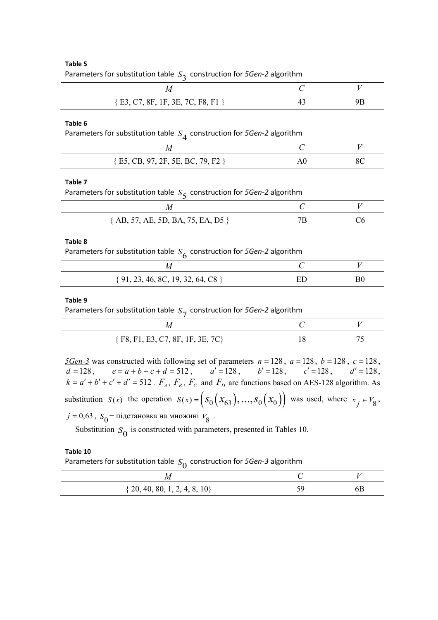### **Table 5**

|--|

| $\sim$ 3                                                                  |                |                |
|---------------------------------------------------------------------------|----------------|----------------|
| $\boldsymbol{M}$                                                          | C              | V              |
| ${E3, C7, 8F, 1F, 3E, 7C, F8, F1}$                                        | 43             | 9B             |
| Table 6                                                                   |                |                |
| Parameters for substitution table $S_4$ construction for 5Gen-2 algorithm |                |                |
| M                                                                         | $\mathcal{C}$  | V              |
| {E5, CB, 97, 2F, 5E, BC, 79, F2}                                          | A <sub>0</sub> | 8C             |
| Table 7                                                                   |                |                |
| Parameters for substitution table $S_5$ construction for 5Gen-2 algorithm |                |                |
| $\boldsymbol{M}$                                                          | $\mathcal{C}$  | V              |
| {AB, 57, AE, 5D, BA, 75, EA, D5}                                          | 7B             | C6             |
| Table 8                                                                   |                |                |
| Parameters for substitution table $S_6$ construction for 5Gen-2 algorithm |                |                |
| M                                                                         | $\overline{C}$ | V              |
| $\{91, 23, 46, 8C, 19, 32, 64, C8\}$                                      | ED             | B <sub>0</sub> |
| Table 9                                                                   |                |                |
| Parameters for substitution table $S_7$ construction for 5Gen-2 algorithm |                |                |
| $\boldsymbol{M}$                                                          | $\mathcal C$   | V              |
| ${F8, F1, E3, C7, 8F, 1F, 3E, 7C}$                                        | 18             | 75             |

*5Gen-3* was constructed with following set of parameters  $n = 128$ ,  $a = 128$ ,  $b = 128$ ,  $c = 128$ , *d* = 128, *e* =  $a + b + c + d$  = 512, *a*<sup> $\prime$ </sup> = 128, *b*<sup> $\prime$ </sup> = 128, *d*<sup> $\prime$ </sup> = 128,  $k = a' + b' + c' + d' = 512$ .  $F_A$ ,  $F_B$ ,  $F_C$  and  $F_D$  are functions based on AES-128 algorithm. As substitution  $S(x)$  the operation  $S(x) = \left(S_0(x_6), \ldots, S_0(x_0)\right)$  was used, where  $x_j \in V_8$ ,  $j = 0.63$ ,  $S_0$  – підстановка на множині  $V_8$ .

Substitution  $S_0$  is constructed with parameters, presented in Tables 10.

### **Table 10**

Parameters for substitution table  $S_0$  construction for 5Gen-3 algorithm

| ΙИ                               |    |
|----------------------------------|----|
| $\{20, 40, 80, 1, 2, 4, 8, 10\}$ | םט |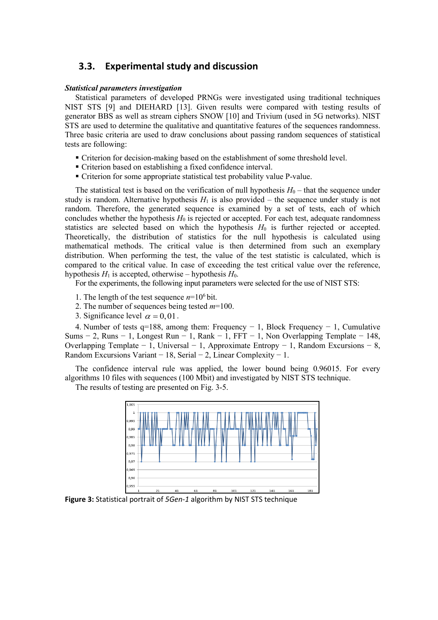# **3.3. Experimental study and discussion**

#### *Statistical parameters investigation*

Statistical parameters of developed PRNGs were investigated using traditional techniques NIST STS [9] and DIEHARD [13]. Given results were compared with testing results of generator BBS as well as stream ciphers SNOW [10] and Trivium (used in 5G networks). NIST STS are used to determine the qualitative and quantitative features of the sequences randomness. Three basic criteria are used to draw conclusions about passing random sequences of statistical tests are following:

- Criterion for decision-making based on the establishment of some threshold level.
- Criterion based on establishing a fixed confidence interval.
- Criterion for some appropriate statistical test probability value P-value.

The statistical test is based on the verification of null hypothesis  $H_0$  – that the sequence under study is random. Alternative hypothesis  $H_1$  is also provided – the sequence under study is not random. Therefore, the generated sequence is examined by a set of tests, each of which concludes whether the hypothesis  $H_0$  is rejected or accepted. For each test, adequate randomness statistics are selected based on which the hypothesis *H*<sup>0</sup> is further rejected or accepted. Theoretically, the distribution of statistics for the null hypothesis is calculated using mathematical methods. The critical value is then determined from such an exemplary distribution. When performing the test, the value of the test statistic is calculated, which is compared to the critical value. In case of exceeding the test critical value over the reference, hypothesis  $H_1$  is accepted, otherwise – hypothesis  $H_0$ .

For the experiments, the following input parameters were selected for the use of NIST STS:

- 1. The length of the test sequence  $n=10^6$  bit.
- 2. The number of sequences being tested *m*=100.
- 3. Significance level  $\alpha = 0.01$ .

4. Number of tests q=188, among them: Frequency − 1, Block Frequency − 1, Cumulative Sums − 2, Runs − 1, Longest Run − 1, Rank − 1, FFT − 1, Non Overlapping Template − 148, Overlapping Template − 1, Universal − 1, Approximate Entropy − 1, Random Excursions − 8, Random Excursions Variant − 18, Serial − 2, Linear Complexity − 1.

The confidence interval rule was applied, the lower bound being 0.96015. For every algorithms 10 files with sequences (100 Mbit) and investigated by NIST STS technique.

The results of testing are presented on Fig. 3-5.



**Figure 3:** Statistical portrait of *5Gen-1* algorithm by NIST STS technique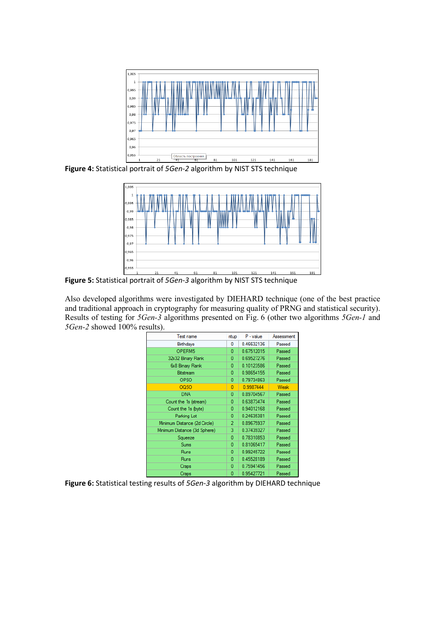

**Figure 4:** Statistical portrait of *5Gen-2* algorithm by NIST STS technique



**Figure 5:** Statistical portrait of *5Gen-3* algorithm by NIST STS technique

Also developed algorithms were investigated by DIEHARD technique (one of the best practice and traditional approach in cryptography for measuring quality of PRNG and statistical security). Results of testing for *5Gen-3* algorithms presented on Fig. 6 (other two algorithms *5Gen-1* and *5Gen-2* showed 100% results).

| Test name                    | ntup           | $P - value$ | Assessment |
|------------------------------|----------------|-------------|------------|
| <b>Birthdays</b>             | O              | 0.46632136  | Passed     |
| OPERM5                       | 0              | 0.67512015  | Passed     |
| 32x32 Binary Rank            | 0              | 0.69527276  | Passed     |
| 6x8 Binary Rank              | 0              | 0.10123586  | Passed     |
| Bitstream                    | 0              | 0.98654155  | Passed     |
| <b>OPSO</b>                  | 0              | 0.79734863  | Passed     |
| <b>OQSO</b>                  | 0              | 0.9987444   | Weak       |
| DNA                          | 0              | 0.89704567  | Passed     |
| Count the 1s (stream)        | 0              | 0.63873474  | Passed     |
| Count the 1s (byte)          | 0              | 0.94012168  | Passed     |
| Parking Lot                  | 0              | 0.24635381  | Passed     |
| Minimum Distance (2d Circle) | $\overline{2}$ | 0.89675937  | Passed     |
| Minimum Distance (3d Sphere) | 3              | 0.37439327  | Passed     |
| Squeeze                      | 0              | 0.78310853  | Passed     |
| Sums                         | 0              | 0.81065417  | Passed     |
| Runs                         | 0              | 0.99245722  | Passed     |
| Runs                         | 0              | 0.45528189  | Passed     |
| Craps                        | 0              | 0.75941456  | Passed     |
| Craps                        | 0              | 0.95427721  | Passed     |

**Figure 6:** Statistical testing results of *5Gen-3* algorithm by DIEHARD technique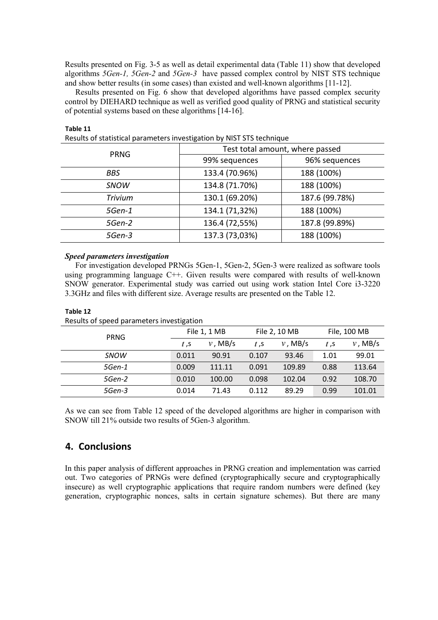Results presented on Fig. 3-5 as well as detail experimental data (Table 11) show that developed algorithms *5Gen-1, 5Gen-2* and *5Gen-3* have passed complex control by NIST STS technique and show better results (in some cases) than existed and well-known algorithms [11-12].

Results presented on Fig. 6 show that developed algorithms have passed complex security control by DIEHARD technique as well as verified good quality of PRNG and statistical security of potential systems based on these algorithms [14-16].

| $\sim$      |                                 |                |  |  |  |  |
|-------------|---------------------------------|----------------|--|--|--|--|
| <b>PRNG</b> | Test total amount, where passed |                |  |  |  |  |
|             | 99% sequences                   | 96% sequences  |  |  |  |  |
| <b>BBS</b>  | 133.4 (70.96%)                  | 188 (100%)     |  |  |  |  |
| <b>SNOW</b> | 134.8 (71.70%)                  | 188 (100%)     |  |  |  |  |
| Trivium     | 130.1 (69.20%)                  | 187.6 (99.78%) |  |  |  |  |
| 5Gen-1      | 134.1 (71,32%)                  | 188 (100%)     |  |  |  |  |
| 5Gen-2      | 136.4 (72,55%)                  | 187.8 (99.89%) |  |  |  |  |
| 5Gen-3      | 137.3 (73,03%)                  | 188 (100%)     |  |  |  |  |
|             |                                 |                |  |  |  |  |

### **Table 11**

**Table 12** 

Results of statistical parameters investigation by NIST STS technique

### *Speed parameters investigation*

For investigation developed PRNGs 5Gen-1, 5Gen-2, 5Gen-3 were realized as software tools using programming language С++. Given results were compared with results of well-known SNOW generator. Experimental study was carried out using work station Intel Core i3-3220 3.3GHz and files with different size. Average results are presented on the Table 12.

| results of speed parameters investigation. |              |            |               |            |              |            |  |
|--------------------------------------------|--------------|------------|---------------|------------|--------------|------------|--|
| <b>PRNG</b>                                | File 1, 1 MB |            | File 2, 10 MB |            | File, 100 MB |            |  |
|                                            | $t$ , s      | $v$ , MB/s | $t$ , S       | $v$ , MB/s | $t$ , s      | $v$ , MB/s |  |
| SNOW                                       | 0.011        | 90.91      | 0.107         | 93.46      | 1.01         | 99.01      |  |
| 5Gen-1                                     | 0.009        | 111.11     | 0.091         | 109.89     | 0.88         | 113.64     |  |
| 5Gen-2                                     | 0.010        | 100.00     | 0.098         | 102.04     | 0.92         | 108.70     |  |
| 5Gen-3                                     | 0.014        | 71.43      | 0.112         | 89.29      | 0.99         | 101.01     |  |

# Results of speed parameters investigation

As we can see from Table 12 speed of the developed algorithms are higher in comparison with SNOW till 21% outside two results of 5Gen-3 algorithm.

# **4. Conclusions**

In this paper analysis of different approaches in PRNG creation and implementation was carried out. Two categories of PRNGs were defined (cryptographically secure and cryptographically insecure) as well cryptographic applications that require random numbers were defined (key generation, cryptographic nonces, salts in certain signature schemes). But there are many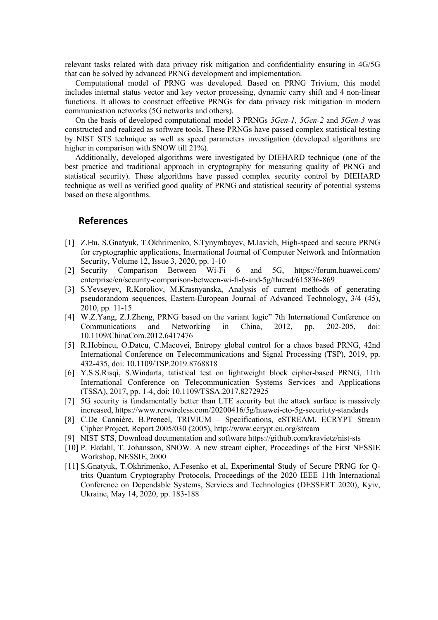relevant tasks related with data privacy risk mitigation and confidentiality ensuring in 4G/5G that can be solved by advanced PRNG development and implementation.

Computational model of PRNG was developed. Based on PRNG Trivium, this model includes internal status vector and key vector processing, dynamic carry shift and 4 non-linear functions. It allows to construct effective PRNGs for data privacy risk mitigation in modern communication networks (5G networks and others).

On the basis of developed computational model 3 PRNGs *5Gen-1, 5Gen-2* and *5Gen-3* was constructed and realized as software tools. These PRNGs have passed complex statistical testing by NIST STS technique as well as speed parameters investigation (developed algorithms are higher in comparison with SNOW till 21%).

Additionally, developed algorithms were investigated by DIEHARD technique (one of the best practice and traditional approach in cryptography for measuring quality of PRNG and statistical security). These algorithms have passed complex security control by DIEHARD technique as well as verified good quality of PRNG and statistical security of potential systems based on these algorithms.

### **References**

- [1] Z.Hu, S.Gnatyuk, T.Okhrimenko, [S.T](https://www.scopus.com/authid/detail.uri?origin=AuthorProfile&authorId=57200075185&zone=)ynymbayev, [M.I](https://www.scopus.com/authid/detail.uri?origin=AuthorProfile&authorId=57194794201&zone=)avich, [High-speed and secure PRNG](https://www.scopus.com/record/display.uri?eid=2-s2.0-85086245460&origin=resultslist&sort=plf-f&src=s&sid=b8dc30af2a1eef34d4c59710ac563984&sot=autdocs&sdt=autdocs&sl=18&s=AU-ID%2836184129600%29&relpos=0&citeCnt=0&searchTerm=)  [for cryptographic applications,](https://www.scopus.com/record/display.uri?eid=2-s2.0-85086245460&origin=resultslist&sort=plf-f&src=s&sid=b8dc30af2a1eef34d4c59710ac563984&sot=autdocs&sdt=autdocs&sl=18&s=AU-ID%2836184129600%29&relpos=0&citeCnt=0&searchTerm=) International Journal of Computer Network and Information Security, Volume 12, Issue 3, 2020, pp. 1-10
- [2] Security Comparison Between Wi-Fi 6 and 5G, <https://forum.huawei.com/> enterprise/en/security-comparison-between-wi-fi-6-and-5g/thread/615836-869
- [3] S.Yevseyev, R.Koroliov, M.Krasnyanska, Analysis of current methods of generating pseudorandom sequences, Eastern-European Journal of Advanced Technology, 3/4 (45), 2010, pр. 11-15
- [4] W.Z.Yang, Z.J.Zheng, PRNG based on the variant logic" 7th International Conference on Communications and Networking in China, 2012, pp. 202-205, doi: 10.1109/ChinaCom.2012.6417476
- [5] R.Hobincu, O.Datcu, C.Macovei, Entropy global control for a chaos based PRNG, 42nd International Conference on Telecommunications and Signal Processing (TSP), 2019, pp. 432-435, doi: 10.1109/TSP.2019.8768818
- [6] Y.S.S.Risqi, S.Windarta, tatistical test on lightweight block cipher-based PRNG, 11th International Conference on Telecommunication Systems Services and Applications (TSSA), 2017, pp. 1-4, doi: 10.1109/TSSA.2017.8272925
- [7] 5G security is fundamentally better than LTE security but the attack surface is massively increased,<https://www.rcrwireless.com/20200416/5g/huawei-cto-5g-securiuty-standards>
- [8] C.De Cannière, B.Preneel, TRIVIUM Specifications, eSTREAM, ECRYPT Stream Cipher Project, Report 2005/030 (2005)[, http://www.ecrypt.eu.org/stream](http://www.ecrypt.eu.org/stream)
- [9] NIST STS, Download documentation and software<https://github.com/kravietz/nist-sts>
- [10] P. Ekdahl, T. Johansson, SNOW. A new stream cipher, Proceedings of the First NESSIE Workshop, NESSIE, 2000
- [11] S.Gnatyuk, T.Okhrimenko, A.Fesenko et al, Experimental Study of Secure PRNG for Qtrits Quantum Cryptography Protocols, Proceedings of the 2020 IEEE 11th International Conference on Dependable Systems, Services and Technologies (DESSERT 2020), Kyiv, Ukraine, May 14, 2020, pp. 183-188